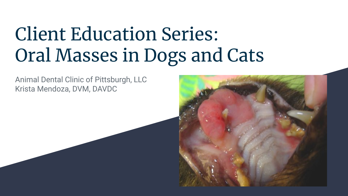## Client Education Series: Oral Masses in Dogs and Cats

Animal Dental Clinic of Pittsburgh, LLC Krista Mendoza, DVM, DAVDC

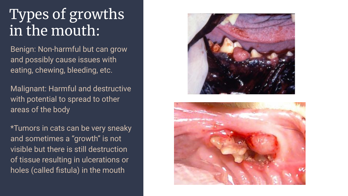## Types of growths in the mouth:

Benign: Non-harmful but can grow and possibly cause issues with eating, chewing, bleeding, etc.

Malignant: Harmful and destructive with potential to spread to other areas of the body

\*Tumors in cats can be very sneaky and sometimes a "growth" is not visible but there is still destruction of tissue resulting in ulcerations or holes (called fistula) in the mouth



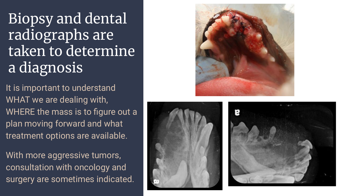Biopsy and dental radiographs are taken to determine a diagnosis

It is important to understand WHAT we are dealing with, WHERE the mass is to figure out a plan moving forward and what treatment options are available.

With more aggressive tumors, consultation with oncology and surgery are sometimes indicated.